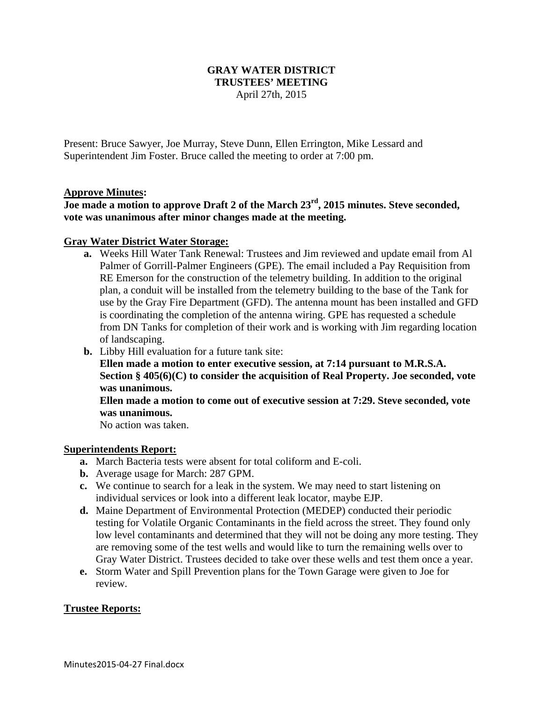# **GRAY WATER DISTRICT TRUSTEES' MEETING**  April 27th, 2015

Present: Bruce Sawyer, Joe Murray, Steve Dunn, Ellen Errington, Mike Lessard and Superintendent Jim Foster. Bruce called the meeting to order at 7:00 pm.

# **Approve Minutes:**

# **Joe made a motion to approve Draft 2 of the March 23rd, 2015 minutes. Steve seconded, vote was unanimous after minor changes made at the meeting.**

### **Gray Water District Water Storage:**

- **a.** Weeks Hill Water Tank Renewal: Trustees and Jim reviewed and update email from Al Palmer of Gorrill-Palmer Engineers (GPE). The email included a Pay Requisition from RE Emerson for the construction of the telemetry building. In addition to the original plan, a conduit will be installed from the telemetry building to the base of the Tank for use by the Gray Fire Department (GFD). The antenna mount has been installed and GFD is coordinating the completion of the antenna wiring. GPE has requested a schedule from DN Tanks for completion of their work and is working with Jim regarding location of landscaping.
- **b.** Libby Hill evaluation for a future tank site:

**Ellen made a motion to enter executive session, at 7:14 pursuant to M.R.S.A. Section § 405(6)(C) to consider the acquisition of Real Property. Joe seconded, vote was unanimous.** 

**Ellen made a motion to come out of executive session at 7:29. Steve seconded, vote was unanimous.** 

No action was taken.

#### **Superintendents Report:**

- **a.** March Bacteria tests were absent for total coliform and E-coli.
- **b.** Average usage for March: 287 GPM.
- **c.** We continue to search for a leak in the system. We may need to start listening on individual services or look into a different leak locator, maybe EJP.
- **d.** Maine Department of Environmental Protection (MEDEP) conducted their periodic testing for Volatile Organic Contaminants in the field across the street. They found only low level contaminants and determined that they will not be doing any more testing. They are removing some of the test wells and would like to turn the remaining wells over to Gray Water District. Trustees decided to take over these wells and test them once a year.
- **e.** Storm Water and Spill Prevention plans for the Town Garage were given to Joe for review.

# **Trustee Reports:**